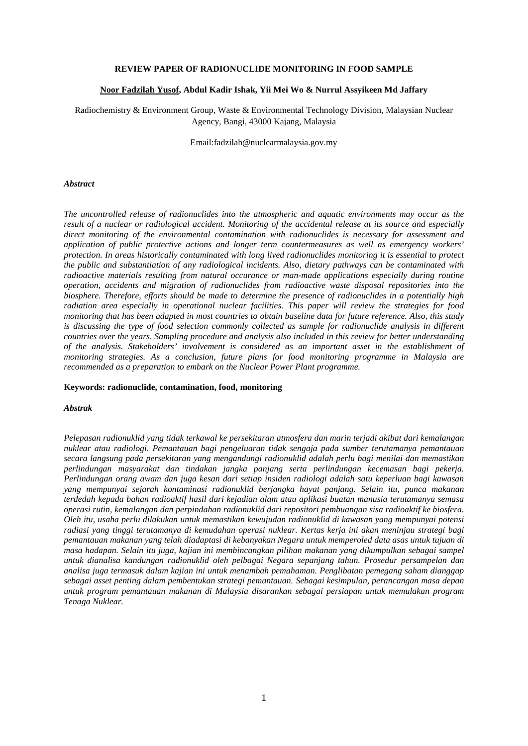# **REVIEW PAPER OF RADIONUCLIDE MONITORING IN FOOD SAMPLE**

# **Noor Fadzilah Yusof, Abdul Kadir Ishak, Yii Mei Wo & Nurrul Assyikeen Md Jaffary**

Radiochemistry & Environment Group, Waste & Environmental Technology Division, Malaysian Nuclear Agency, Bangi, 43000 Kajang, Malaysia

Email:fadzilah@nuclearmalaysia.gov.my

### *Abstract*

*The uncontrolled release of radionuclides into the atmospheric and aquatic environments may occur as the result of a nuclear or radiological accident. Monitoring of the accidental release at its source and especially direct monitoring of the environmental contamination with radionuclides is necessary for assessment and application of public protective actions and longer term countermeasures as well as emergency workers' protection. In areas historically contaminated with long lived radionuclides monitoring it is essential to protect the public and substantiation of any radiological incidents. Also, dietary pathways can be contaminated with radioactive materials resulting from natural occurance or man-made applications especially during routine operation, accidents and migration of radionuclides from radioactive waste disposal repositories into the biosphere. Therefore, efforts should be made to determine the presence of radionuclides in a potentially high radiation area especially in operational nuclear facilities. This paper will review the strategies for food monitoring that has been adapted in most countries to obtain baseline data for future reference. Also, this study is discussing the type of food selection commonly collected as sample for radionuclide analysis in different countries over the years. Sampling procedure and analysis also included in this review for better understanding of the analysis. Stakeholders' involvement is considered as an important asset in the establishment of monitoring strategies. As a conclusion, future plans for food monitoring programme in Malaysia are recommended as a preparation to embark on the Nuclear Power Plant programme.*

#### **Keywords: radionuclide, contamination, food, monitoring**

### *Abstrak*

*Pelepasan radionuklid yang tidak terkawal ke persekitaran atmosfera dan marin terjadi akibat dari kemalangan nuklear atau radiologi. Pemantauan bagi pengeluaran tidak sengaja pada sumber terutamanya pemantauan secara langsung pada persekitaran yang mengandungi radionuklid adalah perlu bagi menilai dan memastikan perlindungan masyarakat dan tindakan jangka panjang serta perlindungan kecemasan bagi pekerja. Perlindungan orang awam dan juga kesan dari setiap insiden radiologi adalah satu keperluan bagi kawasan yang mempunyai sejarah kontaminasi radionuklid berjangka hayat panjang. Selain itu, punca makanan terdedah kepada bahan radioaktif hasil dari kejadian alam atau aplikasi buatan manusia terutamanya semasa operasi rutin, kemalangan dan perpindahan radionuklid dari repositori pembuangan sisa radioaktif ke biosfera. Oleh itu, usaha perlu dilakukan untuk memastikan kewujudan radionuklid di kawasan yang mempunyai potensi radiasi yang tinggi terutamanya di kemudahan operasi nuklear. Kertas kerja ini akan meninjau strategi bagi pemantauan makanan yang telah diadaptasi di kebanyakan Negara untuk memperoled data asas untuk tujuan di masa hadapan. Selain itu juga, kajian ini membincangkan pilihan makanan yang dikumpulkan sebagai sampel untuk dianalisa kandungan radionuklid oleh pelbagai Negara sepanjang tahun. Prosedur persampelan dan analisa juga termasuk dalam kajian ini untuk menambah pemahaman. Penglibatan pemegang saham dianggap sebagai asset penting dalam pembentukan strategi pemantauan. Sebagai kesimpulan, perancangan masa depan untuk program pemantauan makanan di Malaysia disarankan sebagai persiapan untuk memulakan program Tenaga Nuklear.*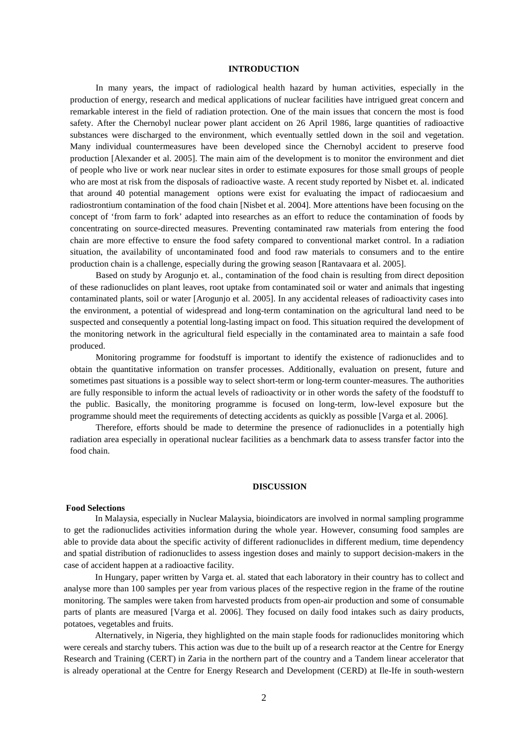# **INTRODUCTION**

In many years, the impact of radiological health hazard by human activities, especially in the production of energy, research and medical applications of nuclear facilities have intrigued great concern and remarkable interest in the field of radiation protection. One of the main issues that concern the most is food safety. After the Chernobyl nuclear power plant accident on 26 April 1986, large quantities of radioactive substances were discharged to the environment, which eventually settled down in the soil and vegetation. Many individual countermeasures have been developed since the Chernobyl accident to preserve food production [\[Alexander et al. 2005\]](#page-5-0). The main aim of the development is to monitor the environment and diet of people who live or work near nuclear sites in order to estimate exposures for those small groups of people who are most at risk from the disposals of radioactive waste. A recent study reported by Nisbet et. al. indicated that around 40 potential management options were exist for evaluating the impact of radiocaesium and radiostrontium contamination of the food chain [\[Nisbet et al. 2004\]](#page-5-1). More attentions have been focusing on the concept of 'from farm to fork' adapted into researches as an effort to reduce the contamination of foods by concentrating on source-directed measures. Preventing contaminated raw materials from entering the food chain are more effective to ensure the food safety compared to conventional market control. In a radiation situation, the availability of uncontaminated food and food raw materials to consumers and to the entire production chain is a challenge, especially during the growing season [\[Rantavaara et al. 2005\]](#page-5-2).

Based on study by Arogunjo et. al., contamination of the food chain is resulting from direct deposition of these radionuclides on plant leaves, root uptake from contaminated soil or water and animals that ingesting contaminated plants, soil or water [\[Arogunjo et al. 2005\]](#page-5-3). In any accidental releases of radioactivity cases into the environment, a potential of widespread and long-term contamination on the agricultural land need to be suspected and consequently a potential long-lasting impact on food. This situation required the development of the monitoring network in the agricultural field especially in the contaminated area to maintain a safe food produced.

Monitoring programme for foodstuff is important to identify the existence of radionuclides and to obtain the quantitative information on transfer processes. Additionally, evaluation on present, future and sometimes past situations is a possible way to select short-term or long-term counter-measures. The authorities are fully responsible to inform the actual levels of radioactivity or in other words the safety of the foodstuff to the public. Basically, the monitoring programme is focused on long-term, low-level exposure but the programme should meet the requirements of detecting accidents as quickly as possible [\[Varga et al. 2006\]](#page-5-4).

Therefore, efforts should be made to determine the presence of radionuclides in a potentially high radiation area especially in operational nuclear facilities as a benchmark data to assess transfer factor into the food chain.

#### **DISCUSSION**

# **Food Selections**

In Malaysia, especially in Nuclear Malaysia, bioindicators are involved in normal sampling programme to get the radionuclides activities information during the whole year. However, consuming food samples are able to provide data about the specific activity of different radionuclides in different medium, time dependency and spatial distribution of radionuclides to assess ingestion doses and mainly to support decision-makers in the case of accident happen at a radioactive facility.

In Hungary, paper written by Varga et. al. stated that each laboratory in their country has to collect and analyse more than 100 samples per year from various places of the respective region in the frame of the routine monitoring. The samples were taken from harvested products from open-air production and some of consumable parts of plants are measured [\[Varga et al. 2006\]](#page-5-4). They focused on daily food intakes such as dairy products, potatoes, vegetables and fruits.

Alternatively, in Nigeria, they highlighted on the main staple foods for radionuclides monitoring which were cereals and starchy tubers. This action was due to the built up of a research reactor at the Centre for Energy Research and Training (CERT) in Zaria in the northern part of the country and a Tandem linear accelerator that is already operational at the Centre for Energy Research and Development (CERD) at Ile-Ife in south-western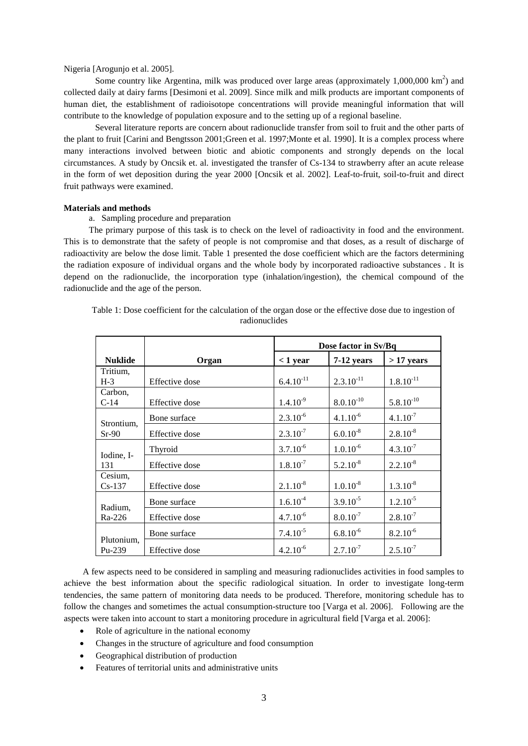# Nigeria [\[Arogunjo et al. 2005\]](#page-5-3).

Some country like Argentina, milk was produced over large areas (approximately  $1,000,000 \text{ km}^2$ ) and collected daily at dairy farms [\[Desimoni et al. 2009\]](#page-5-5). Since milk and milk products are important components of human diet, the establishment of radioisotope concentrations will provide meaningful information that will contribute to the knowledge of population exposure and to the setting up of a regional baseline.

Several literature reports are concern about radionuclide transfer from soil to fruit and the other parts of the plant to fruit [\[Carini and Bengtsson 2001;](#page-5-6)[Green et al. 1997](#page-5-7)[;Monte et al. 1990\]](#page-5-8). It is a complex process where many interactions involved between biotic and abiotic components and strongly depends on the local circumstances. A study by Oncsik et. al. investigated the transfer of Cs-134 to strawberry after an acute release in the form of wet deposition during the year 2000 [\[Oncsik et al. 2002\]](#page-5-9). Leaf-to-fruit, soil-to-fruit and direct fruit pathways were examined.

# **Materials and methods**

a. Sampling procedure and preparation

The primary purpose of this task is to check on the level of radioactivity in food and the environment. This is to demonstrate that the safety of people is not compromise and that doses, as a result of discharge of radioactivity are below the dose limit. Table 1 presented the dose coefficient which are the factors determining the radiation exposure of individual organs and the whole body by incorporated radioactive substances . It is depend on the radionuclide, the incorporation type (inhalation/ingestion), the chemical compound of the radionuclide and the age of the person.

|                       |                | Dose factor in Sv/Bq |                |                |  |  |  |
|-----------------------|----------------|----------------------|----------------|----------------|--|--|--|
| <b>Nuklide</b>        | Organ          | $< 1$ year           | 7-12 years     | $>17$ years    |  |  |  |
| Tritium,<br>$H-3$     | Effective dose | $6.4.10^{-11}$       | $2.3.10^{-11}$ | $1.8.10^{-11}$ |  |  |  |
| Carbon.<br>$C-14$     | Effective dose | $1.4.10^{9}$         | $8.0.10^{-10}$ | $5.8.10^{-10}$ |  |  |  |
| Strontium,<br>$Sr-90$ | Bone surface   | $2.3.10^{-6}$        | $4.1.10^{-6}$  | $4.1.10^{-7}$  |  |  |  |
|                       | Effective dose | $2.3.10^{-7}$        | $6.0.10^{-8}$  | $2.8.10^{-8}$  |  |  |  |
| Iodine, I-<br>131     | Thyroid        | $3.7.10^{-6}$        | $1.0.10^{-6}$  | $4.3.10^{-7}$  |  |  |  |
|                       | Effective dose | $1.8.10^{-7}$        | $5.2.10^{-8}$  | $2.2.10^{-8}$  |  |  |  |
| Cesium,<br>$Cs-137$   | Effective dose | $2.1.10^{-8}$        | $1.0.10^{-8}$  | $1.3.10^{-8}$  |  |  |  |
| Radium,<br>Ra-226     | Bone surface   | $1.6.10^{-4}$        | $3.9.10^{-5}$  | $1.2.10^{-5}$  |  |  |  |
|                       | Effective dose | $4.7.10^{-6}$        | $8.0.10^{-7}$  | $2.8.10^{-7}$  |  |  |  |
| Plutonium,<br>Pu-239  | Bone surface   | $7.4.10^{-5}$        | $6.8.10^{-6}$  | $8.2.10^{-6}$  |  |  |  |
|                       | Effective dose | $4.2.10^{-6}$        | $2.7.10^{-7}$  | $2.5.10^{-7}$  |  |  |  |

Table 1: Dose coefficient for the calculation of the organ dose or the effective dose due to ingestion of radionuclides

A few aspects need to be considered in sampling and measuring radionuclides activities in food samples to achieve the best information about the specific radiological situation. In order to investigate long-term tendencies, the same pattern of monitoring data needs to be produced. Therefore, monitoring schedule has to follow the changes and sometimes the actual consumption-structure too [\[Varga et al. 2006\]](#page-5-4). Following are the aspects were taken into account to start a monitoring procedure in agricultural field [\[Varga et al. 2006\]](#page-5-4):

- Role of agriculture in the national economy
- Changes in the structure of agriculture and food consumption
- Geographical distribution of production
- Features of territorial units and administrative units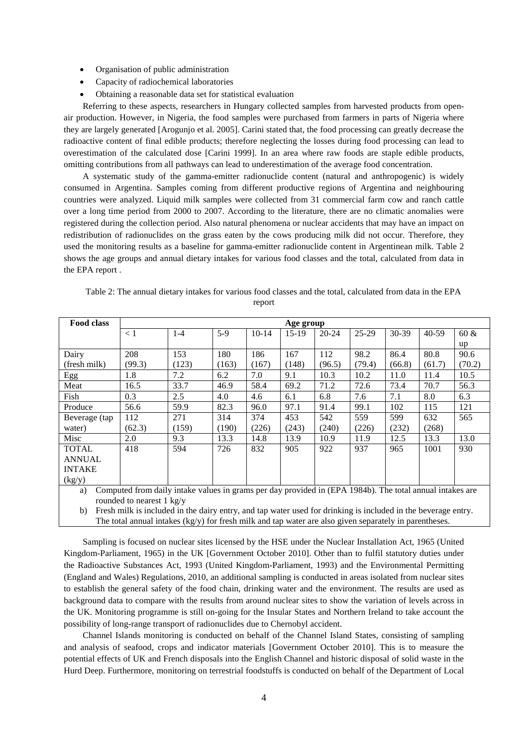- Organisation of public administration
- Capacity of radiochemical laboratories
- Obtaining a reasonable data set for statistical evaluation

Referring to these aspects, researchers in Hungary collected samples from harvested products from openair production. However, in Nigeria, the food samples were purchased from farmers in parts of Nigeria where they are largely generated [\[Arogunjo et al. 2005\]](#page-5-3). Carini stated that, the food processing can greatly decrease the radioactive content of final edible products; therefore neglecting the losses during food processing can lead to overestimation of the calculated dose [\[Carini 1999\]](#page-5-10). In an area where raw foods are staple edible products, omitting contributions from all pathways can lead to underestimation of the average food concentration.

A systematic study of the gamma-emitter radionuclide content (natural and anthropogenic) is widely consumed in Argentina. Samples coming from different productive regions of Argentina and neighbouring countries were analyzed. Liquid milk samples were collected from 31 commercial farm cow and ranch cattle over a long time period from 2000 to 2007. According to the literature, there are no climatic anomalies were registered during the collection period. Also natural phenomena or nuclear accidents that may have an impact on redistribution of radionuclides on the grass eaten by the cows producing milk did not occur. Therefore, they used the monitoring results as a baseline for gamma-emitter radionuclide content in Argentinean milk. Table 2 shows the age groups and annual dietary intakes for various food classes and the total, calculated from data in the EPA report .

| <b>Food class</b> | Age group |         |       |         |         |           |         |         |           |         |  |
|-------------------|-----------|---------|-------|---------|---------|-----------|---------|---------|-----------|---------|--|
|                   | $\leq 1$  | $1 - 4$ | $5-9$ | $10-14$ | $15-19$ | $20 - 24$ | $25-29$ | $30-39$ | $40 - 59$ | $60 \&$ |  |
|                   |           |         |       |         |         |           |         |         |           | up      |  |
| Dairy             | 208       | 153     | 180   | 186     | 167     | 112       | 98.2    | 86.4    | 80.8      | 90.6    |  |
| (fresh milk)      | (99.3)    | (123)   | (163) | (167)   | (148)   | (96.5)    | (79.4)  | (66.8)  | (61.7)    | (70.2)  |  |
| Egg               | 1.8       | 7.2     | 6.2   | 7.0     | 9.1     | 10.3      | 10.2    | 11.0    | 11.4      | 10.5    |  |
| Meat              | 16.5      | 33.7    | 46.9  | 58.4    | 69.2    | 71.2      | 72.6    | 73.4    | 70.7      | 56.3    |  |
| Fish              | 0.3       | 2.5     | 4.0   | 4.6     | 6.1     | 6.8       | 7.6     | 7.1     | 8.0       | 6.3     |  |
| Produce           | 56.6      | 59.9    | 82.3  | 96.0    | 97.1    | 91.4      | 99.1    | 102     | 115       | 121     |  |
| Beverage (tap     | 112       | 271     | 314   | 374     | 453     | 542       | 559     | 599     | 632       | 565     |  |
| water)            | (62.3)    | (159)   | (190) | (226)   | (243)   | (240)     | (226)   | (232)   | (268)     |         |  |
| Misc              | 2.0       | 9.3     | 13.3  | 14.8    | 13.9    | 10.9      | 11.9    | 12.5    | 13.3      | 13.0    |  |
| <b>TOTAL</b>      | 418       | 594     | 726   | 832     | 905     | 922       | 937     | 965     | 1001      | 930     |  |
| <b>ANNUAL</b>     |           |         |       |         |         |           |         |         |           |         |  |
| <b>INTAKE</b>     |           |         |       |         |         |           |         |         |           |         |  |
| (kg/y)            |           |         |       |         |         |           |         |         |           |         |  |

| Table 2: The annual dietary intakes for various food classes and the total, calculated from data in the EPA |  |  |        |  |  |  |  |  |
|-------------------------------------------------------------------------------------------------------------|--|--|--------|--|--|--|--|--|
|                                                                                                             |  |  | report |  |  |  |  |  |

a) Computed from daily intake values in grams per day provided in (EPA 1984b). The total annual intakes are rounded to nearest 1 kg/y

b) Fresh milk is included in the dairy entry, and tap water used for drinking is included in the beverage entry. The total annual intakes  $(kg/y)$  for fresh milk and tap water are also given separately in parentheses.

Sampling is focused on nuclear sites licensed by the HSE under the Nuclear Installation Act, 1965 (United Kingdom-Parliament, 1965) in the UK [\[Government October 2010\]](#page-5-11). Other than to fulfil statutory duties under the Radioactive Substances Act, 1993 (United Kingdom-Parliament, 1993) and the Environmental Permitting (England and Wales) Regulations, 2010, an additional sampling is conducted in areas isolated from nuclear sites to establish the general safety of the food chain, drinking water and the environment. The results are used as background data to compare with the results from around nuclear sites to show the variation of levels across in the UK. Monitoring programme is still on-going for the Insular States and Northern Ireland to take account the possibility of long-range transport of radionuclides due to Chernobyl accident.

Channel Islands monitoring is conducted on behalf of the Channel Island States, consisting of sampling and analysis of seafood, crops and indicator materials [\[Government October 2010\]](#page-5-11). This is to measure the potential effects of UK and French disposals into the English Channel and historic disposal of solid waste in the Hurd Deep. Furthermore, monitoring on terrestrial foodstuffs is conducted on behalf of the Department of Local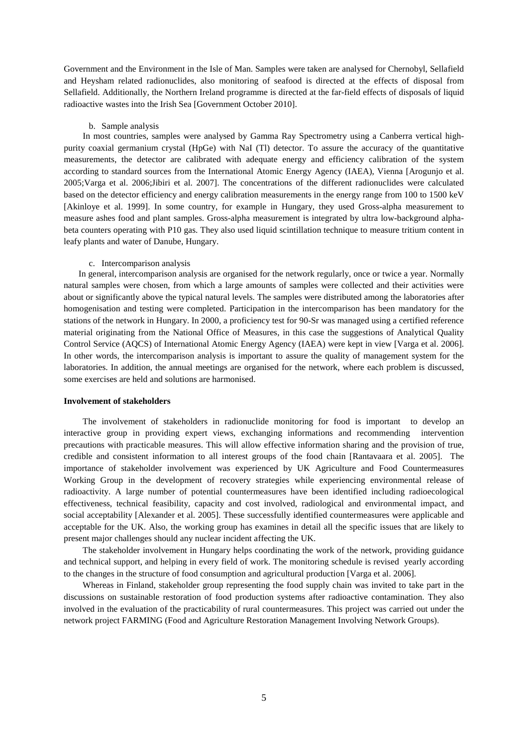Government and the Environment in the Isle of Man. Samples were taken are analysed for Chernobyl, Sellafield and Heysham related radionuclides, also monitoring of seafood is directed at the effects of disposal from Sellafield. Additionally, the Northern Ireland programme is directed at the far-field effects of disposals of liquid radioactive wastes into the Irish Sea [\[Government October 2010\]](#page-5-11).

#### b. Sample analysis

In most countries, samples were analysed by Gamma Ray Spectrometry using a Canberra vertical highpurity coaxial germanium crystal (HpGe) with NaI (Tl) detector. To assure the accuracy of the quantitative measurements, the detector are calibrated with adequate energy and efficiency calibration of the system according to standard sources from the International Atomic Energy Agency (IAEA), Vienna [\[Arogunjo et al.](#page-5-3)  [2005](#page-5-3)[;Varga et al. 2006](#page-5-4)[;Jibiri et al. 2007\]](#page-5-12). The concentrations of the different radionuclides were calculated based on the detector efficiency and energy calibration measurements in the energy range from 100 to 1500 keV [\[Akinloye et al. 1999\]](#page-5-13). In some country, for example in Hungary, they used Gross-alpha measurement to measure ashes food and plant samples. Gross-alpha measurement is integrated by ultra low-background alphabeta counters operating with P10 gas. They also used liquid scintillation technique to measure tritium content in leafy plants and water of Danube, Hungary.

#### c. Intercomparison analysis

In general, intercomparison analysis are organised for the network regularly, once or twice a year. Normally natural samples were chosen, from which a large amounts of samples were collected and their activities were about or significantly above the typical natural levels. The samples were distributed among the laboratories after homogenisation and testing were completed. Participation in the intercomparison has been mandatory for the stations of the network in Hungary. In 2000, a proficiency test for 90-Sr was managed using a certified reference material originating from the National Office of Measures, in this case the suggestions of Analytical Quality Control Service (AQCS) of International Atomic Energy Agency (IAEA) were kept in view [\[Varga et al. 2006\]](#page-5-4). In other words, the intercomparison analysis is important to assure the quality of management system for the laboratories. In addition, the annual meetings are organised for the network, where each problem is discussed, some exercises are held and solutions are harmonised.

# **Involvement of stakeholders**

The involvement of stakeholders in radionuclide monitoring for food is important to develop an interactive group in providing expert views, exchanging informations and recommending intervention precautions with practicable measures. This will allow effective information sharing and the provision of true, credible and consistent information to all interest groups of the food chain [\[Rantavaara et al. 2005\]](#page-5-2). The importance of stakeholder involvement was experienced by UK Agriculture and Food Countermeasures Working Group in the development of recovery strategies while experiencing environmental release of radioactivity. A large number of potential countermeasures have been identified including radioecological effectiveness, technical feasibility, capacity and cost involved, radiological and environmental impact, and social acceptability [\[Alexander et al. 2005\]](#page-5-0). These successfully identified countermeasures were applicable and acceptable for the UK. Also, the working group has examines in detail all the specific issues that are likely to present major challenges should any nuclear incident affecting the UK.

The stakeholder involvement in Hungary helps coordinating the work of the network, providing guidance and technical support, and helping in every field of work. The monitoring schedule is revised yearly according to the changes in the structure of food consumption and agricultural production [\[Varga et al. 2006\]](#page-5-4).

Whereas in Finland, stakeholder group representing the food supply chain was invited to take part in the discussions on sustainable restoration of food production systems after radioactive contamination. They also involved in the evaluation of the practicability of rural countermeasures. This project was carried out under the network project FARMING (Food and Agriculture Restoration Management Involving Network Groups).